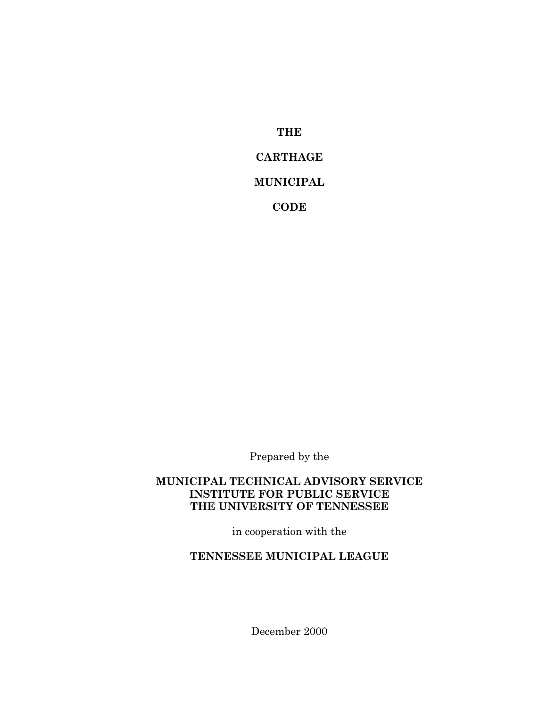**THE CARTHAGE MUNICIPAL CODE**

Prepared by the

#### **MUNICIPAL TECHNICAL ADVISORY SERVICE INSTITUTE FOR PUBLIC SERVICE THE UNIVERSITY OF TENNESSEE**

in cooperation with the

**TENNESSEE MUNICIPAL LEAGUE**

December 2000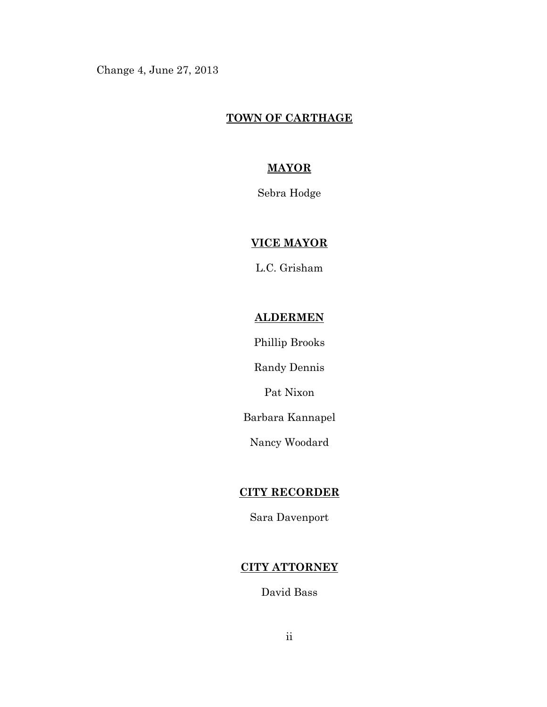Change 4, June 27, 2013

## **TOWN OF CARTHAGE**

## **MAYOR**

Sebra Hodge

## **VICE MAYOR**

L.C. Grisham

#### **ALDERMEN**

Phillip Brooks

Randy Dennis

Pat Nixon

Barbara Kannapel

Nancy Woodard

## **CITY RECORDER**

Sara Davenport

# **CITY ATTORNEY**

David Bass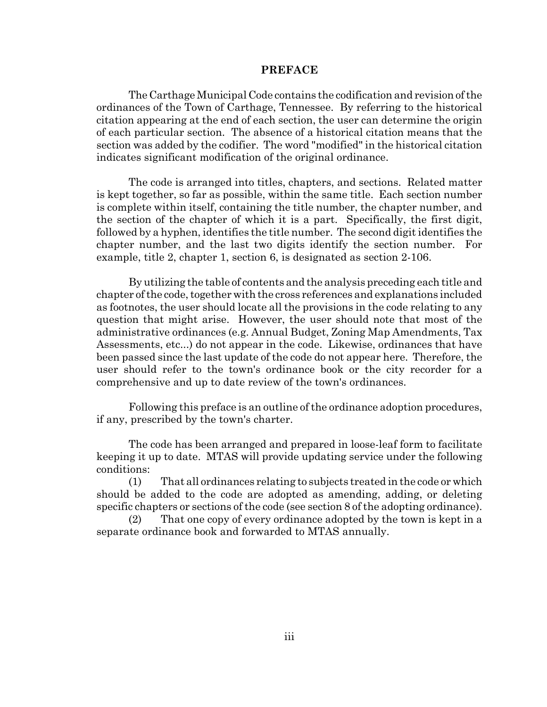#### **PREFACE**

The Carthage Municipal Code contains the codification and revision of the ordinances of the Town of Carthage, Tennessee. By referring to the historical citation appearing at the end of each section, the user can determine the origin of each particular section. The absence of a historical citation means that the section was added by the codifier. The word "modified" in the historical citation indicates significant modification of the original ordinance.

The code is arranged into titles, chapters, and sections. Related matter is kept together, so far as possible, within the same title. Each section number is complete within itself, containing the title number, the chapter number, and the section of the chapter of which it is a part. Specifically, the first digit, followed by a hyphen, identifies the title number. The second digit identifies the chapter number, and the last two digits identify the section number. For example, title 2, chapter 1, section 6, is designated as section 2-106.

By utilizing the table of contents and the analysis preceding each title and chapter of the code, together with the cross references and explanations included as footnotes, the user should locate all the provisions in the code relating to any question that might arise. However, the user should note that most of the administrative ordinances (e.g. Annual Budget, Zoning Map Amendments, Tax Assessments, etc...) do not appear in the code. Likewise, ordinances that have been passed since the last update of the code do not appear here. Therefore, the user should refer to the town's ordinance book or the city recorder for a comprehensive and up to date review of the town's ordinances.

Following this preface is an outline of the ordinance adoption procedures, if any, prescribed by the town's charter.

The code has been arranged and prepared in loose-leaf form to facilitate keeping it up to date. MTAS will provide updating service under the following conditions:

(1) That all ordinances relating to subjects treated in the code or which should be added to the code are adopted as amending, adding, or deleting specific chapters or sections of the code (see section 8 of the adopting ordinance).

(2) That one copy of every ordinance adopted by the town is kept in a separate ordinance book and forwarded to MTAS annually.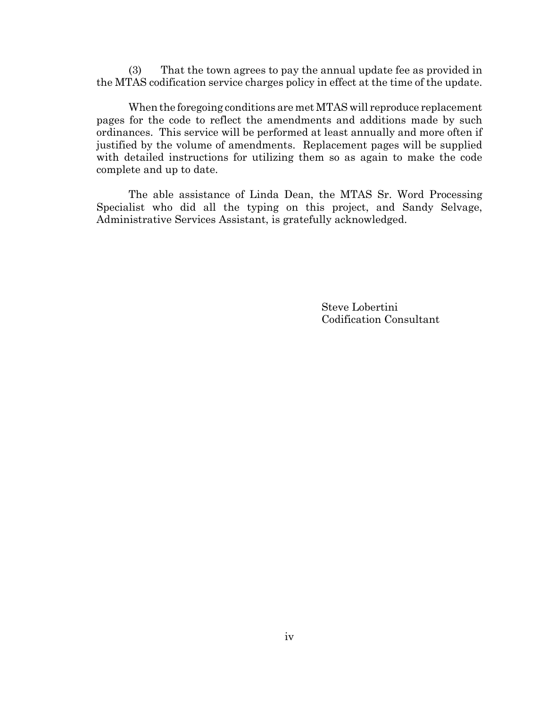(3) That the town agrees to pay the annual update fee as provided in the MTAS codification service charges policy in effect at the time of the update.

When the foregoing conditions are met MTAS will reproduce replacement pages for the code to reflect the amendments and additions made by such ordinances. This service will be performed at least annually and more often if justified by the volume of amendments. Replacement pages will be supplied with detailed instructions for utilizing them so as again to make the code complete and up to date.

The able assistance of Linda Dean, the MTAS Sr. Word Processing Specialist who did all the typing on this project, and Sandy Selvage, Administrative Services Assistant, is gratefully acknowledged.

> Steve Lobertini Codification Consultant